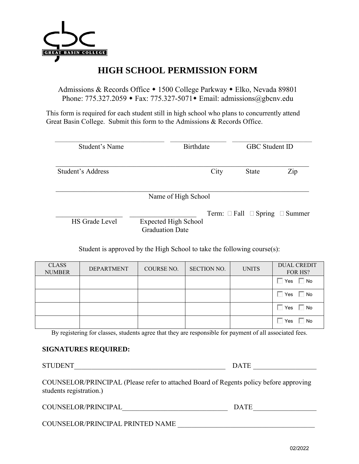

# **HIGH SCHOOL PERMISSION FORM**

Admissions & Records Office • 1500 College Parkway • Elko, Nevada 89801 Phone:  $775.327.2059 \rightarrow \text{Fax: } 775.327-5071 \rightarrow \text{Email: } \text{admissions}(\text{a} \text{gbenv.edu})$ 

This form is required for each student still in high school who plans to concurrently attend Great Basin College. Submit this form to the Admissions & Records Office.

| Student's Name    | <b>Birthdate</b>                                      |      | <b>GBC</b> Student ID |                                               |
|-------------------|-------------------------------------------------------|------|-----------------------|-----------------------------------------------|
| Student's Address |                                                       | City | <b>State</b>          | Zip                                           |
|                   | Name of High School                                   |      |                       |                                               |
| HS Grade Level    | <b>Expected High School</b><br><b>Graduation Date</b> |      |                       | Term: $\Box$ Fall $\Box$ Spring $\Box$ Summer |

Student is approved by the High School to take the following course(s):

| <b>CLASS</b><br><b>NUMBER</b> | <b>DEPARTMENT</b> | COURSE NO. | <b>SECTION NO.</b> | <b>UNITS</b> | <b>DUAL CREDIT</b><br>FOR HS? |
|-------------------------------|-------------------|------------|--------------------|--------------|-------------------------------|
|                               |                   |            |                    |              | $\Box$ No<br>Yes              |
|                               |                   |            |                    |              | No.<br>Yes                    |
|                               |                   |            |                    |              | No.<br>Yes                    |
|                               |                   |            |                    |              | No<br>Yes                     |

By registering for classes, students agree that they are responsible for payment of all associated fees.

#### **SIGNATURES REQUIRED:**

STUDENT\_\_\_\_\_\_\_\_\_\_\_\_\_\_\_\_\_\_\_\_\_\_\_\_\_\_\_\_\_\_\_\_\_\_\_\_\_\_\_\_\_\_\_ DATE \_\_\_\_\_\_\_\_\_\_\_\_\_\_\_\_\_\_

COUNSELOR/PRINCIPAL (Please refer to attached Board of Regents policy before approving students registration.)

COUNSELOR/PRINCIPAL\_\_\_\_\_\_\_\_\_\_\_\_\_\_\_\_\_\_\_\_\_\_\_\_\_\_\_\_\_\_ DATE \_\_\_\_\_\_\_\_\_\_\_\_\_\_\_\_\_\_

COUNSELOR/PRINCIPAL PRINTED NAME \_\_\_\_\_\_\_\_\_\_\_\_\_\_\_\_\_\_\_\_\_\_\_\_\_\_\_\_\_\_\_\_\_\_\_\_\_\_\_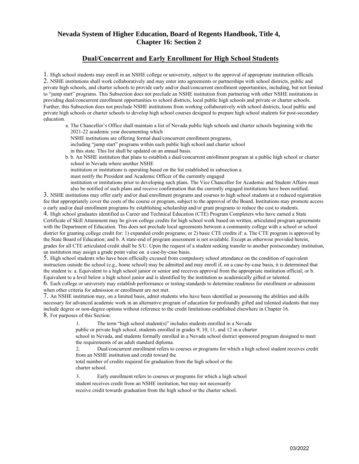### **Nevada System of Higher Education, Board of Regents Handbook, Title 4, Chapter 16: Section 2**

#### **Dual/Concurrent and Early Enrollment for High School Students**

1. High school students may enroll in an NSHE college or university, subject to the approval of appropriate institution officials. 2. NSHE institutions shall work collaboratively and may enter into agreements or partnerships with school districts, public and private high schools, and charter schools to provide early and/or dual/concurrent enrollment opportunities, including, but not limited to "jump start" programs. This Subsection does not preclude an NSHE institution from partnering with other NSHE institutions in providing dual/concurrent enrollment opportunities to school districts, local public high schools and private or charter schools. Further, this Subsection does not preclude NSHE institutions from working collaboratively with school districts, local public and private high schools or charter schools to develop high school courses designed to prepare high school students for post-secondary education.

a. The Chancellor's Office shall maintain a list of Nevada public high schools and charter schools beginning with the 2021-22 academic year documenting which NSHE institutions are offering formal dual/concurrent enrollment programs, including "jump start" programs within each public high school and charter school in this state. This list shall be updated on an annual basis. b. b. An NSHE institution that plans to establish a dual/concurrent enrollment program at a public high school or charter school in Nevada where another NSHE

institution or institutions is operating based on the list established in subsection a.

must notify the President and Academic Officer of the currently engaged

institution or institutions prior to developing such plans. The Vice Chancellor for Academic and Student Affairs must also be notified of such plans and receive confirmation that the currently engaged institutions have been notified.

3. NSHE institutions may offer early and/or dual enrollment programs and courses to high school students at a reduced registration fee that appropriately cover the costs of the course or program, subject to the approval of the Board. Institutions may promote access o early and/or dual enrollment programs by establishing scholarship and/or grant programs to reduce the cost to students. 4. High school graduates identified as Career and Technical Education (CTE) Program Completers who have earned a State Certificate of Skill Attainment may be given college credits for high school work based on written, articulated program agreements with the Department of Education. This does not preclude local agreements between a community college with a school or school district for granting college credit for: 1) expanded credit programs; or 2) basic CTE credits if: a. The CTE program is approved by the State Board of Education; and b. A state-end of program assessment is not available. Except as otherwise provided herein, grades for all CTE articulated credit shall be S/U. Upon the request of a student seeking transfer to another postsecondary institution, an institution may assign a grade point value on a case-by-case basis.

5. High school students who have been officially excused from compulsory school attendance on the condition of equivalent instruction outside the school (e.g., home school) may be admitted and may enroll if, on a case-by-case basis, it is determined that the student is: a. Equivalent to a high school junior or senior and receives approval from the appropriate institution official; or b. Equivalent to a level below a high school junior and is identified by the institution as academically gifted or talented. 6. Each college or university may establish performance or testing standards to determine readiness for enrollment or admission

when other criteria for admission or enrollment are not met.

7. An NSHE institution may, on a limited basis, admit students who have been identified as possessing the abilities and skills necessary for advanced academic work in an alternative program of education for profoundly gifted and talented students that may include degree or non-degree options without reference to the credit limitations established elsewhere in Chapter 16. 8. For purposes of this Section:

The term "high school student(s)" includes students enrolled in a Nevada

public or private high school, students enrolled in grades 9, 10, 11, and 12 in a charter

school in Nevada, and students formally enrolled in a Nevada school district sponsored program designed to meet the requirements of an adult standard diploma.

2. Dual/concurrent enrollment refers to courses or programs for which a high school student receives credit from an NSHE institution and credit toward the

total number of credits required for graduation from the high school or the charter school.

3. Early enrollment refers to courses or programs for which a high school student receives credit from an NSHE institution, but may not necessarily

receive credit towards graduation from the high school or the charter school.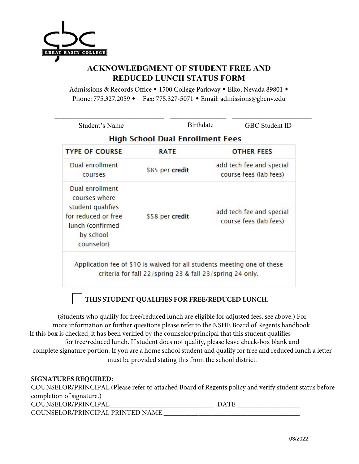

### **ACKNOWLEDGMENT OF STUDENT FREE AND REDUCED LUNCH STATUS FORM**

Admissions & Records Office • 1500 College Parkway • Elko, Nevada 89801 • Phone: 775.327.2059 • Fax: 775.327-5071 • Email: admissions@gbcnv.edu

| Student's Name                                                                                                              | <b>Birthdate</b>                                                                                                                          |                                                    | <b>GBC</b> Student ID |  |
|-----------------------------------------------------------------------------------------------------------------------------|-------------------------------------------------------------------------------------------------------------------------------------------|----------------------------------------------------|-----------------------|--|
|                                                                                                                             | <b>High School Dual Enrollment Fees</b>                                                                                                   |                                                    |                       |  |
| <b>TYPE OF COURSE</b>                                                                                                       | <b>RATE</b>                                                                                                                               |                                                    | <b>OTHER FEES</b>     |  |
| Dual enrollment<br>courses                                                                                                  | \$85 per credit                                                                                                                           | add tech fee and special<br>course fees (lab fees) |                       |  |
| Dual enrollment<br>courses where<br>student qualifies<br>for reduced or free<br>lunch (confirmed<br>by school<br>counselor) | \$58 per credit                                                                                                                           | add tech fee and special<br>course fees (lab fees) |                       |  |
|                                                                                                                             | Application fee of \$10 is waived for all students meeting one of these<br>criteria for fall $22$ /spring 23 & fall $23$ /spring 24 only. |                                                    |                       |  |

## **THIS STUDENT QUALIFIES FOR FREE/REDUCED LUNCH.**

(Students who qualify for free/reduced lunch are eligible for adjusted fees, see above.) For more information or further questions please refer to the NSHE Board of Regents handbook. If this box is checked, it has been verified by the counselor/principal that this student qualifies for free/reduced lunch. If student does not qualify, please leave check-box blank and complete signature portion. If you are a home school student and qualify for free and reduced lunch a letter must be provided stating this from the school district.

### **SIGNATURES REQUIRED:**

COUNSELOR/PRINCIPAL (Please refer to attached Board of Regents policy and verify student status before completion of signature.) COUNSELOR/PRINCIPAL\_\_\_\_\_\_\_\_\_\_\_\_\_\_\_\_\_\_\_\_\_\_\_\_\_\_\_\_\_\_ DATE \_\_\_\_\_\_\_\_\_\_\_\_\_\_\_\_\_\_ COUNSELOR/PRINCIPAL PRINTED NAME \_\_\_\_\_\_\_\_\_\_\_\_\_\_\_\_\_\_\_\_\_\_\_\_\_\_\_\_\_\_\_\_\_\_\_\_\_\_\_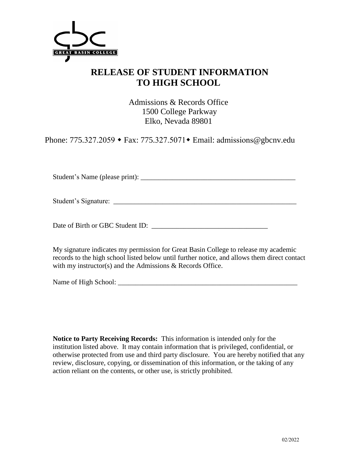

# **RELEASE OF STUDENT INFORMATION TO HIGH SCHOOL**

Admissions & Records Office 1500 College Parkway Elko, Nevada 89801

Phone: 775.327.2059 ◆ Fax: 775.327.5071 ◆ Email: admissions@gbcnv.edu

Student's Name (please print): \_\_\_\_\_\_\_\_\_\_\_\_\_\_\_\_\_\_\_\_\_\_\_\_\_\_\_\_\_\_\_\_\_\_\_\_\_\_\_\_\_\_\_\_

Student's Signature: \_\_\_\_\_\_\_\_\_\_\_\_\_\_\_\_\_\_\_\_\_\_\_\_\_\_\_\_\_\_\_\_\_\_\_\_\_\_\_\_\_\_\_\_\_\_\_\_\_\_\_\_

Date of Birth or GBC Student ID:

My signature indicates my permission for Great Basin College to release my academic records to the high school listed below until further notice, and allows them direct contact with my instructor(s) and the Admissions & Records Office.

Name of High School: \_\_\_\_\_\_\_\_\_\_\_\_\_\_\_\_\_\_\_\_\_\_\_\_\_\_\_\_\_\_\_\_\_\_\_\_\_\_\_\_\_\_\_\_\_\_\_\_\_\_\_

**Notice to Party Receiving Records:** This information is intended only for the institution listed above. It may contain information that is privileged, confidential, or otherwise protected from use and third party disclosure. You are hereby notified that any review, disclosure, copying, or dissemination of this information, or the taking of any action reliant on the contents, or other use, is strictly prohibited.